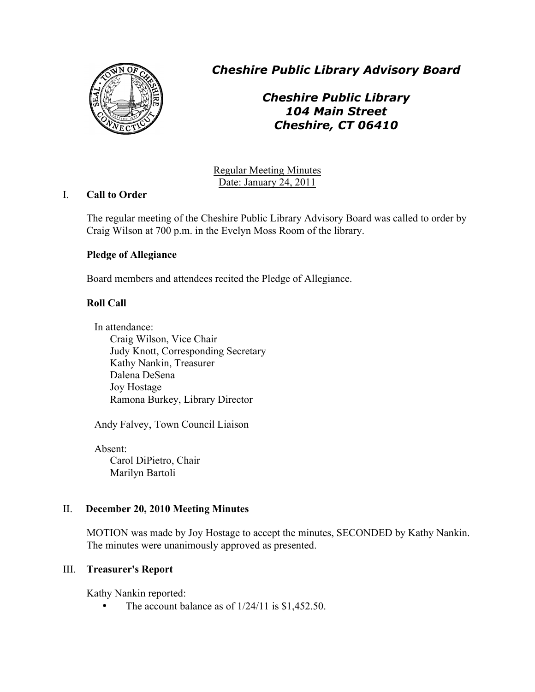

*Cheshire Public Library Advisory Board*

*Cheshire Public Library 104 Main Street Cheshire, CT 06410*

Regular Meeting Minutes Date: January 24, 2011

# I. **Call to Order**

The regular meeting of the Cheshire Public Library Advisory Board was called to order by Craig Wilson at 700 p.m. in the Evelyn Moss Room of the library.

# **Pledge of Allegiance**

Board members and attendees recited the Pledge of Allegiance.

# **Roll Call**

In attendance: Craig Wilson, Vice Chair Judy Knott, Corresponding Secretary Kathy Nankin, Treasurer Dalena DeSena Joy Hostage Ramona Burkey, Library Director

Andy Falvey, Town Council Liaison

Absent: Carol DiPietro, Chair Marilyn Bartoli

# II. **December 20, 2010 Meeting Minutes**

MOTION was made by Joy Hostage to accept the minutes, SECONDED by Kathy Nankin. The minutes were unanimously approved as presented.

# III. **Treasurer's Report**

Kathy Nankin reported:

• The account balance as of  $1/24/11$  is \$1,452.50.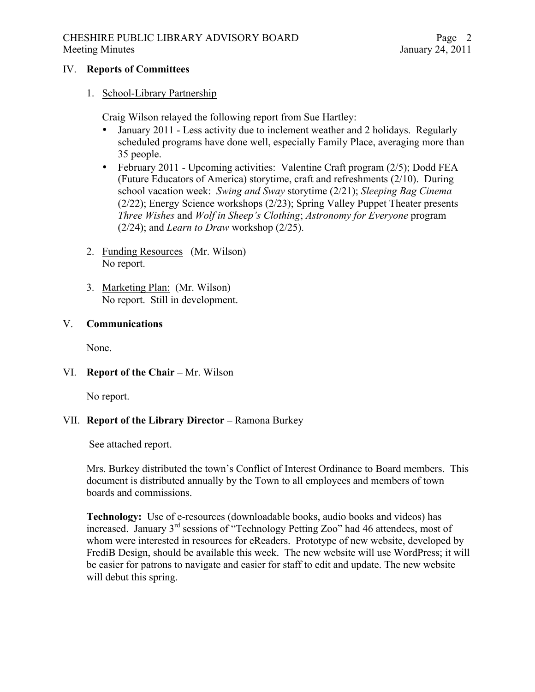## CHESHIRE PUBLIC LIBRARY ADVISORY BOARD Meeting Minutes January 24, 2011

### IV. **Reports of Committees**

## 1. School-Library Partnership

Craig Wilson relayed the following report from Sue Hartley:

- January 2011 Less activity due to inclement weather and 2 holidays. Regularly scheduled programs have done well, especially Family Place, averaging more than 35 people.
- February 2011 Upcoming activities: Valentine Craft program (2/5); Dodd FEA (Future Educators of America) storytime, craft and refreshments (2/10). During school vacation week: *Swing and Sway* storytime (2/21); *Sleeping Bag Cinema* (2/22); Energy Science workshops (2/23); Spring Valley Puppet Theater presents *Three Wishes* and *Wolf in Sheep's Clothing*; *Astronomy for Everyone* program (2/24); and *Learn to Draw* workshop (2/25).
- 2. Funding Resources (Mr. Wilson) No report.
- 3. Marketing Plan: (Mr. Wilson) No report. Still in development.

# V. **Communications**

None.

# VI. **Report of the Chair –** Mr. Wilson

No report.

# VII. **Report of the Library Director –** Ramona Burkey

See attached report.

Mrs. Burkey distributed the town's Conflict of Interest Ordinance to Board members. This document is distributed annually by the Town to all employees and members of town boards and commissions.

**Technology:** Use of e-resources (downloadable books, audio books and videos) has increased. January 3rd sessions of "Technology Petting Zoo" had 46 attendees, most of whom were interested in resources for eReaders. Prototype of new website, developed by FrediB Design, should be available this week. The new website will use WordPress; it will be easier for patrons to navigate and easier for staff to edit and update. The new website will debut this spring.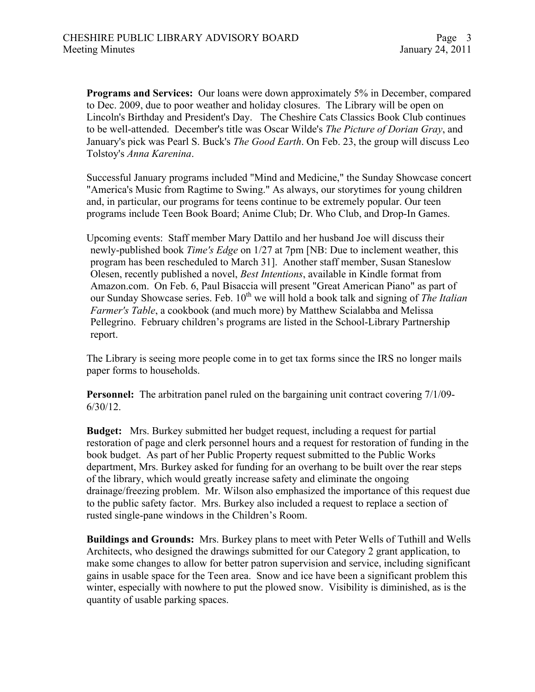**Programs and Services:** Our loans were down approximately 5% in December, compared to Dec. 2009, due to poor weather and holiday closures. The Library will be open on Lincoln's Birthday and President's Day. The Cheshire Cats Classics Book Club continues to be well-attended. December's title was Oscar Wilde's *The Picture of Dorian Gray*, and January's pick was Pearl S. Buck's *The Good Earth*. On Feb. 23, the group will discuss Leo Tolstoy's *Anna Karenina*.

Successful January programs included "Mind and Medicine," the Sunday Showcase concert "America's Music from Ragtime to Swing." As always, our storytimes for young children and, in particular, our programs for teens continue to be extremely popular. Our teen programs include Teen Book Board; Anime Club; Dr. Who Club, and Drop-In Games.

Upcoming events: Staff member Mary Dattilo and her husband Joe will discuss their newly-published book *Time's Edge* on 1/27 at 7pm [NB: Due to inclement weather, this program has been rescheduled to March 31]. Another staff member, Susan Staneslow Olesen, recently published a novel, *Best Intentions*, available in Kindle format from Amazon.com. On Feb. 6, Paul Bisaccia will present "Great American Piano" as part of our Sunday Showcase series. Feb. 10<sup>th</sup> we will hold a book talk and signing of *The Italian Farmer's Table*, a cookbook (and much more) by Matthew Scialabba and Melissa Pellegrino. February children's programs are listed in the School-Library Partnership report.

The Library is seeing more people come in to get tax forms since the IRS no longer mails paper forms to households.

**Personnel:** The arbitration panel ruled on the bargaining unit contract covering 7/1/09-6/30/12.

**Budget:** Mrs. Burkey submitted her budget request, including a request for partial restoration of page and clerk personnel hours and a request for restoration of funding in the book budget. As part of her Public Property request submitted to the Public Works department, Mrs. Burkey asked for funding for an overhang to be built over the rear steps of the library, which would greatly increase safety and eliminate the ongoing drainage/freezing problem. Mr. Wilson also emphasized the importance of this request due to the public safety factor. Mrs. Burkey also included a request to replace a section of rusted single-pane windows in the Children's Room.

**Buildings and Grounds:** Mrs. Burkey plans to meet with Peter Wells of Tuthill and Wells Architects, who designed the drawings submitted for our Category 2 grant application, to make some changes to allow for better patron supervision and service, including significant gains in usable space for the Teen area. Snow and ice have been a significant problem this winter, especially with nowhere to put the plowed snow. Visibility is diminished, as is the quantity of usable parking spaces.